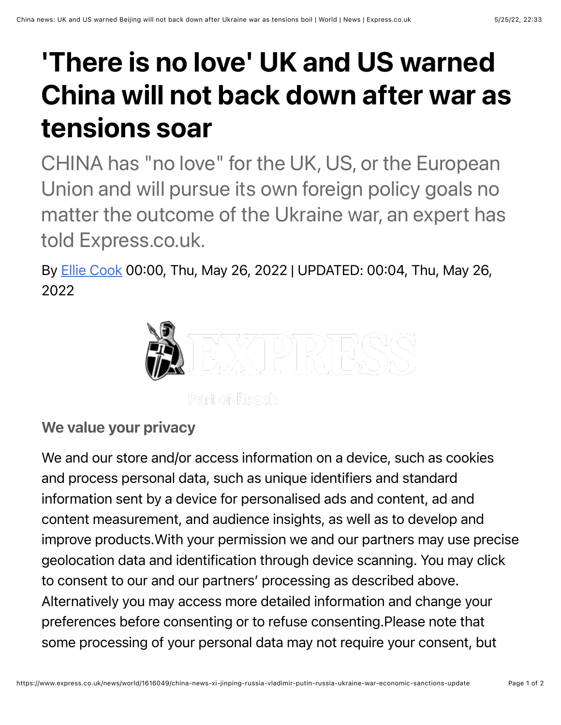## 'There is no love' UK and US warned China will not back down after war as tensions soar

CHINA has "no love" for the UK, US, or the European Union and will pursue its own foreign policy goals no matter the outcome of the Ukraine war, an expert has told Express.co.uk.

By **[Ellie Cook](https://www.express.co.uk/journalist/123104/Ellie-Cook) 00:00, Thu, May 26, 2022 | UPDATED: 00:04, Thu, May 26,** 2022



## We value your privacy

We and our store and/or access information on a device, such as cookies and process personal data, such as unique identifiers and standard information sent by a device for personalised ads and content, ad and content measurement, and audience insights, as well as to develop and improve products.With your permission we and our partners may use precise geolocation data and identification through device scanning. You may click to consent to our and our partners' processing as described above. Alternatively you may access more detailed information and change your preferences before consenting or to refuse consenting.Please note that some processing of your personal data may not require your consent, but